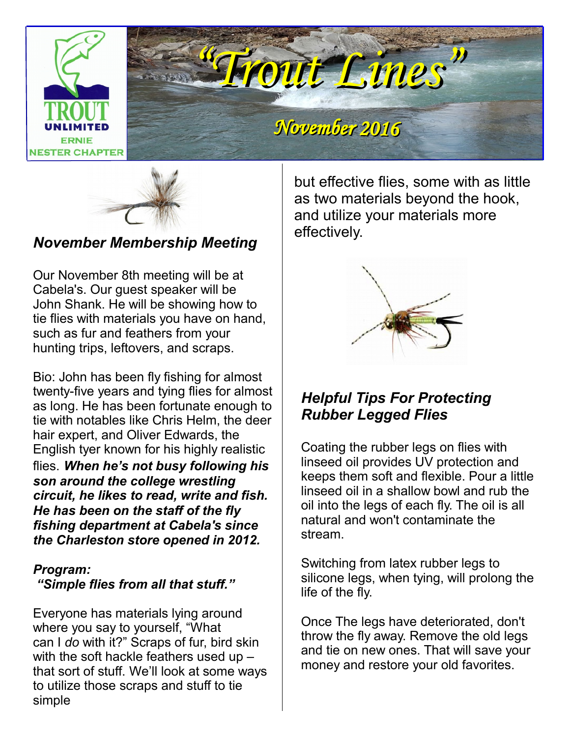



*November Membership Meeting*

Our November 8th meeting will be at Cabela's. Our guest speaker will be John Shank. He will be showing how to tie flies with materials you have on hand, such as fur and feathers from your hunting trips, leftovers, and scraps.

 *circuit, he likes to read, write and fish.*  Bio: John has been fly fishing for almost twenty-five years and tying flies for almost as long. He has been fortunate enough to tie with notables like Chris Helm, the deer hair expert, and Oliver Edwards, the English tyer known for his highly realistic flies. *When he's not busy following his son around the college wrestling He has been on the staff of the fly fishing department at Cabela's since the Charleston store opened in 2012.*

### *Program:*

 *"Simple flies from all that stuff."*

Everyone has materials lying around where you say to yourself, "What can I *do* with it?" Scraps of fur, bird skin with the soft hackle feathers used up – that sort of stuff. We'll look at some ways to utilize those scraps and stuff to tie simple

 but effective flies, some with as little as two materials beyond the hook, and utilize your materials more effectively.



### *Helpful Tips For Protecting Rubber Legged Flies*

Coating the rubber legs on flies with linseed oil provides UV protection and keeps them soft and flexible. Pour a little linseed oil in a shallow bowl and rub the oil into the legs of each fly. The oil is all natural and won't contaminate the stream.

Switching from latex rubber legs to silicone legs, when tying, will prolong the life of the fly.

Once The legs have deteriorated, don't throw the fly away. Remove the old legs and tie on new ones. That will save your money and restore your old favorites.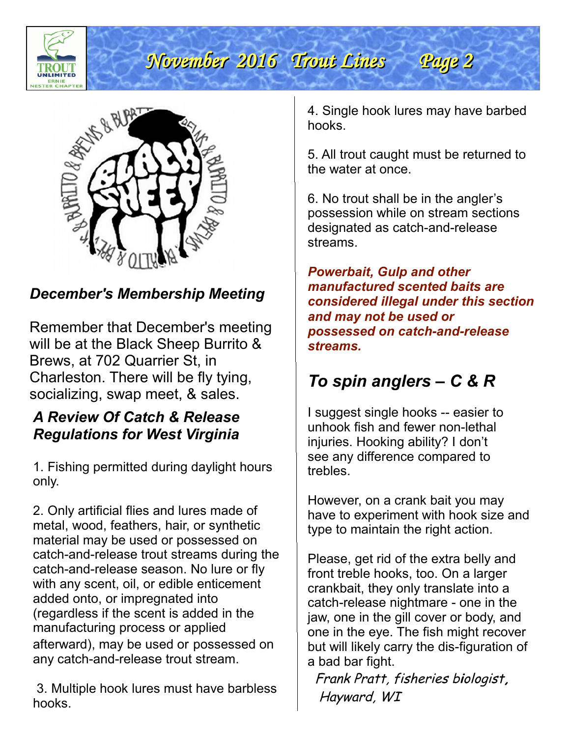



### *December's Membership Meeting*

Remember that December's meeting will be at the Black Sheep Burrito & Brews, at 702 Quarrier St, in Charleston. There will be fly tying, socializing, swap meet, & sales.

### *A Review Of Catch & Release Regulations for West Virginia*

1. Fishing permitted during daylight hours only.

any catch-and-release trout stream. 2. Only artificial flies and lures made of metal, wood, feathers, hair, or synthetic material may be used or possessed on catch-and-release trout streams during the catch-and-release season. No lure or fly with any scent, oil, or edible enticement added onto, or impregnated into (regardless if the scent is added in the manufacturing process or applied afterward), may be used or possessed on

 3. Multiple hook lures must have barbless hooks.

4. Single hook lures may have barbed hooks.

5. All trout caught must be returned to the water at once.

6. No trout shall be in the angler's possession while on stream sections designated as catch-and-release streams.

*Powerbait, Gulp and other manufactured scented baits are considered illegal under this section and may not be used or possessed on catch-and-release streams.*

## *To spin anglers – C & R*

I suggest single hooks -- easier to unhook fish and fewer non-lethal injuries. Hooking ability? I don't see any difference compared to trebles.

However, on a crank bait you may have to experiment with hook size and type to maintain the right action.

Please, get rid of the extra belly and front treble hooks, too. On a larger crankbait, they only translate into a catch-release nightmare - one in the jaw, one in the gill cover or body, and one in the eye. The fish might recover but will likely carry the dis-figuration of a bad bar fight.

 Frank Pratt, fisheries b**i**ologist**,** Hayward, WI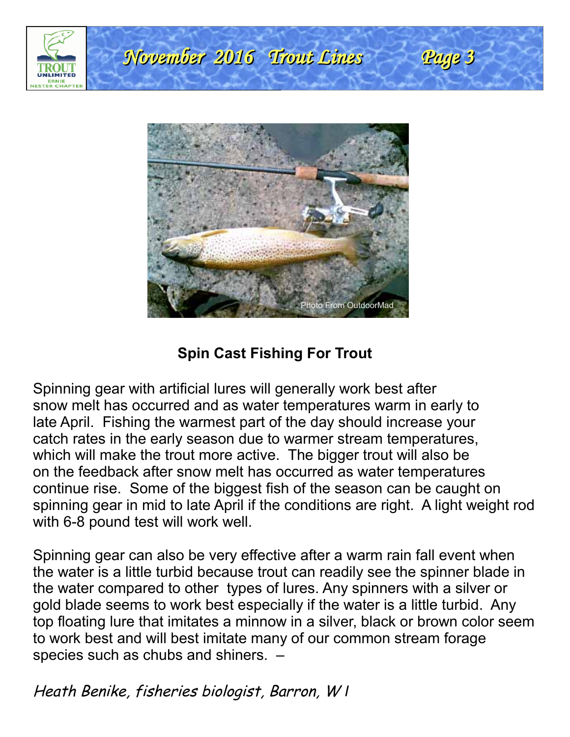



### **Spin Cast Fishing For Trout**

Spinning gear with artificial lures will generally work best after snow melt has occurred and as water temperatures warm in early to late April. Fishing the warmest part of the day should increase your catch rates in the early season due to warmer stream temperatures, which will make the trout more active. The bigger trout will also be on the feedback after snow melt has occurred as water temperatures continue rise. Some of the biggest fish of the season can be caught on spinning gear in mid to late April if the conditions are right. A light weight rod with 6-8 pound test will work well.

Spinning gear can also be very effective after a warm rain fall event when the water is a little turbid because trout can readily see the spinner blade in the water compared to other types of lures. Any spinners with a silver or gold blade seems to work best especially if the water is a little turbid. Any top floating lure that imitates a minnow in a silver, black or brown color seem to work best and will best imitate many of our common stream forage species such as chubs and shiners. –

Heath Benike, fisheries biologist, Barron, W *I*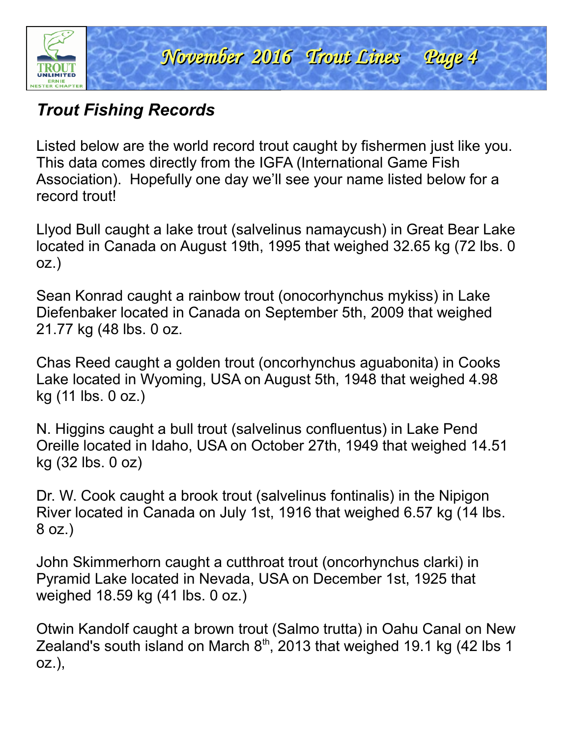

### *Trout Fishing Records*

Listed below are the world record trout caught by fishermen just like you. This data comes directly from the IGFA (International Game Fish Association). Hopefully one day we'll see your name listed below for a record trout!

Llyod Bull caught a lake trout (salvelinus namaycush) in Great Bear Lake located in Canada on August 19th, 1995 that weighed 32.65 kg (72 lbs. 0 oz.)

 21.77 kg (48 lbs. 0 oz. Sean Konrad caught a rainbow trout (onocorhynchus mykiss) in Lake Diefenbaker located in Canada on September 5th, 2009 that weighed

Chas Reed caught a golden trout (oncorhynchus aguabonita) in Cooks Lake located in Wyoming, USA on August 5th, 1948 that weighed 4.98 kg (11 lbs. 0 oz.)

N. Higgins caught a bull trout (salvelinus confluentus) in Lake Pend Oreille located in Idaho, USA on October 27th, 1949 that weighed 14.51 kg (32 lbs. 0 oz)

Dr. W. Cook caught a brook trout (salvelinus fontinalis) in the Nipigon River located in Canada on July 1st, 1916 that weighed 6.57 kg (14 lbs. 8 oz.)

John Skimmerhorn caught a cutthroat trout (oncorhynchus clarki) in Pyramid Lake located in Nevada, USA on December 1st, 1925 that weighed 18.59 kg (41 lbs. 0 oz.)

Otwin Kandolf caught a brown trout (Salmo trutta) in Oahu Canal on New Zealand's south island on March  $8<sup>th</sup>$ , 2013 that weighed 19.1 kg (42 lbs 1 oz.),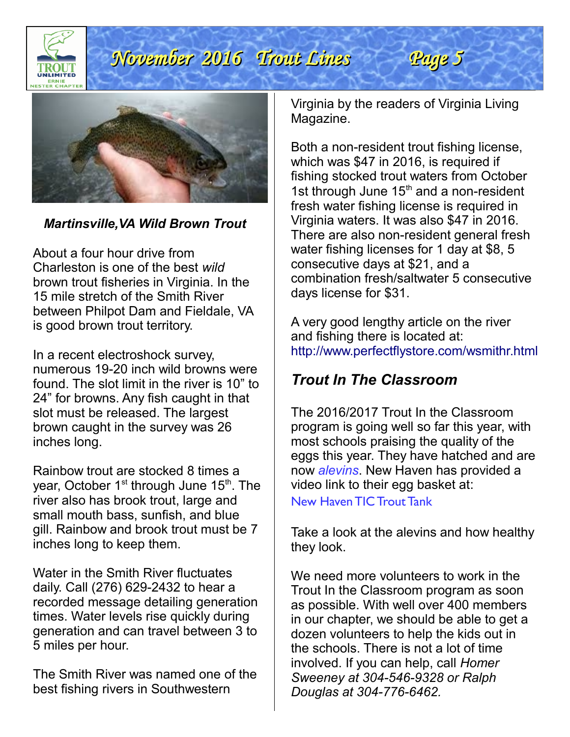

### *Martinsville,VA Wild Brown Trout*

About a four hour drive from Charleston is one of the best *wild* brown trout fisheries in Virginia. In the 15 mile stretch of the Smith River between Philpot Dam and Fieldale, VA is good brown trout territory.

In a recent electroshock survey, numerous 19-20 inch wild browns were found. The slot limit in the river is 10" to 24" for browns. Any fish caught in that slot must be released. The largest brown caught in the survey was 26 inches long.

Rainbow trout are stocked 8 times a year, October  $1<sup>st</sup>$  through June  $15<sup>th</sup>$ . The river also has brook trout, large and small mouth bass, sunfish, and blue gill. Rainbow and brook trout must be 7 inches long to keep them.

Water in the Smith River fluctuates daily. Call (276) 629-2432 to hear a recorded message detailing generation times. Water levels rise quickly during generation and can travel between 3 to 5 miles per hour.

The Smith River was named one of the best fishing rivers in Southwestern

 Virginia by the readers of Virginia Living Magazine.

Both a non-resident trout fishing license, which was \$47 in 2016, is required if fishing stocked trout waters from October 1st through June  $15<sup>th</sup>$  and a non-resident fresh water fishing license is required in Virginia waters. It was also \$47 in 2016. There are also non-resident general fresh water fishing licenses for 1 day at \$8, 5 consecutive days at \$21, and a combination fresh/saltwater 5 consecutive days license for \$31.

A very good lengthy article on the river and fishing there is located at: <http://www.perfectflystore.com/wsmithr.html>

### *Trout In The Classroom*

The 2016/2017 Trout In the Classroom program is going well so far this year, with most schools praising the quality of the eggs this year. They have hatched and are now *[alevins](http://www.wildtrout.org/content/trout-lifecycle)*. New Haven has provided a video link to their egg basket at:

[New Haven TIC Trout Tank](http://www.ustream.tv/channel/nhes---trout-in-the-classroom-2013) 

Take a look at the alevins and how healthy they look.

We need more volunteers to work in the Trout In the Classroom program as soon as possible. With well over 400 members in our chapter, we should be able to get a dozen volunteers to help the kids out in the schools. There is not a lot of time involved. If you can help, call *Homer Sweeney at 304-546-9328 or Ralph Douglas at 304-776-6462.*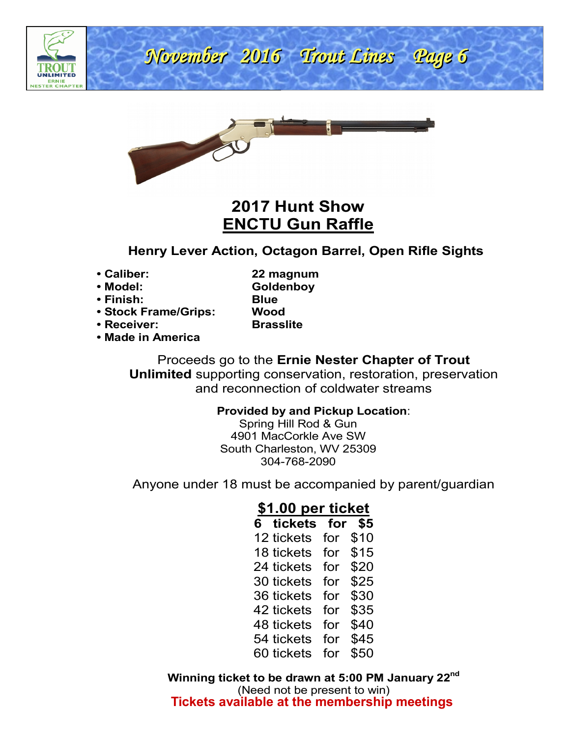



### **2017 Hunt Show ENCTU Gun Raffle**

### **Henry Lever Action, Octagon Barrel, Open Rifle Sights**

**• Caliber: 22 magnum**

- **Model: Goldenboy • Finish: Blue**
- **Stock Frame/Grips: Wood**
- **Receiver: Brasslite**

**• Made in America**

Proceeds go to the **Ernie Nester Chapter of Trout Unlimited** supporting conservation, restoration, preservation and reconnection of coldwater streams

#### **Provided by and Pickup Location**:

Spring Hill Rod & Gun 4901 MacCorkle Ave SW South Charleston, WV 25309 304-768-2090

Anyone under 18 must be accompanied by parent/guardian

### **\$1.00 per ticket**

| 6 tickets  | for | \$5  |
|------------|-----|------|
| 12 tickets | for | \$10 |
| 18 tickets | for | \$15 |
| 24 tickets | for | \$20 |
| 30 tickets | for | \$25 |
| 36 tickets | for | \$30 |
| 42 tickets | for | \$35 |
| 48 tickets | for | \$40 |
| 54 tickets | for | \$45 |
| 60 tickets | for | \$50 |

**Winning ticket to be drawn at 5:00 PM January 22nd** (Need not be present to win) **Tickets available at the membership meetings**